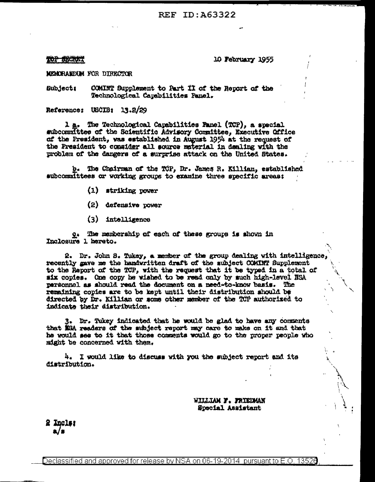## REF ID: A63322

**TOP SECRET** 

10 February 1955

MEMORANDUM FOR DIRECTOR

COMINT Supplement to Part II of the Report of the Subject: Technological Capabilities Panel.

Reference: USCIB: 13.2/29

1 a. The Technological Capabilities Panel (TCP), a special subcommittee of the Scientific Advisory Committee, Executive Office of the President, was established in August 1954 at the request of the President to consider all source material in dealing with the problem of the dangers of a surprise attack on the United States.

b. The Chairman of the TCP, Dr. James R. Killian, established subcommittees or working groups to examine three specific areas:

- (1) striking power
- (2) defensive power
- (3) intelligence

Q. The membership of each of these groups is shown in Inclosure 1 hereto.

2. Dr. John S. Tukey, a member of the group dealing with intelligence, recently gave me the handwritten draft of the subject COMINT Supplement to the Report of the TCP, with the request that it be typed in a total of six copies. One copy he wished to be read only by such high-level NSA personnel as should read the document on a need-to-know basis. The remaining copies are to be kept until their distribution should be directed by Dr. Killian or some other member of the TCP authorized to indicate their distribution.

3. Dr. Tukey indicated that he would be glad to have any comments that NEA readers of the subject report may care to make on it and that he would see to it that those comments would go to the proper people who might be concerned with them.

4. I would like to discuss with you the subject report and its distribution.

> WILLIAM F. FRIEDMAN Special Assistant

2 Incls: a/s